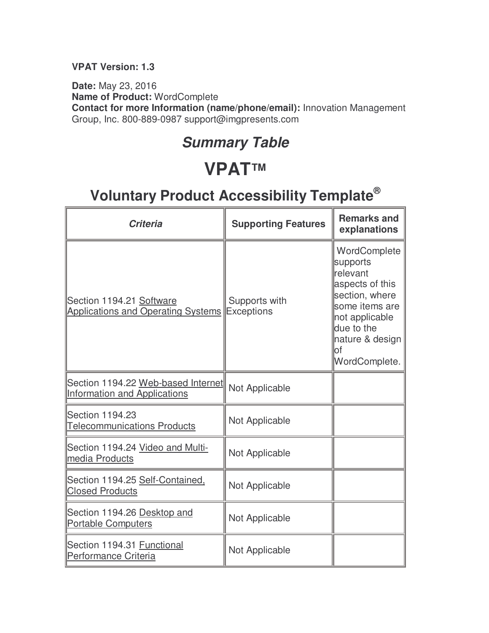#### **VPAT Version: 1.3**

**Date:** May 23, 2016 **Name of Product:** WordComplete **Contact for more Information (name/phone/email):** Innovation Management Group, Inc. 800-889-0987 support@imgpresents.com

#### **Summary Table**

### **VPAT™**

| <b>Criteria</b>                                                           | <b>Supporting Features</b>         | <b>Remarks and</b><br>explanations                                                                                                                                            |
|---------------------------------------------------------------------------|------------------------------------|-------------------------------------------------------------------------------------------------------------------------------------------------------------------------------|
| Section 1194.21 Software<br><b>Applications and Operating Systems</b>     | Supports with<br><b>Exceptions</b> | WordComplete<br>supports<br><b>relevant</b><br>aspects of this<br>section, where<br>some items are<br>not applicable<br>due to the<br>nature & design<br>lof<br>WordComplete. |
| Section 1194.22 Web-based Internet<br><b>Information and Applications</b> | Not Applicable                     |                                                                                                                                                                               |
| Section 1194.23<br><b>Telecommunications Products</b>                     | Not Applicable                     |                                                                                                                                                                               |
| Section 1194.24 Video and Multi-<br>media Products                        | Not Applicable                     |                                                                                                                                                                               |
| Section 1194.25 Self-Contained,<br><b>Closed Products</b>                 | Not Applicable                     |                                                                                                                                                                               |
| Section 1194.26 Desktop and<br><b>Portable Computers</b>                  | Not Applicable                     |                                                                                                                                                                               |
| Section 1194.31 Functional<br>Performance Criteria                        | Not Applicable                     |                                                                                                                                                                               |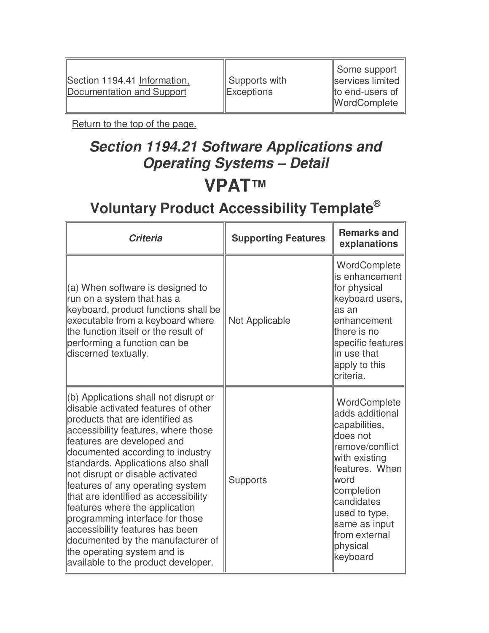Section 1194.41 Information, Documentation and Support

 Supports with **Exceptions** 

 Some support services limited to end-users of WordComplete

Return to the top of the page.

#### **Section 1194.21 Software Applications and Operating Systems – Detail VPAT™**

| <b>Criteria</b>                                                                                                                                                                                                                                                                                                                                                                                                                                                                                                                                                                                   | <b>Supporting Features</b> | <b>Remarks and</b><br>explanations                                                                                                                                                                                                 |
|---------------------------------------------------------------------------------------------------------------------------------------------------------------------------------------------------------------------------------------------------------------------------------------------------------------------------------------------------------------------------------------------------------------------------------------------------------------------------------------------------------------------------------------------------------------------------------------------------|----------------------------|------------------------------------------------------------------------------------------------------------------------------------------------------------------------------------------------------------------------------------|
| $(a)$ When software is designed to<br>run on a system that has a<br>keyboard, product functions shall be<br>executable from a keyboard where<br>the function itself or the result of<br>performing a function can be<br>discerned textually.                                                                                                                                                                                                                                                                                                                                                      | Not Applicable             | WordComplete<br>is enhancement<br>for physical<br>keyboard users,<br>las an<br>enhancement<br>there is no<br>specific features<br>lin use that<br>apply to this<br>criteria.                                                       |
| (b) Applications shall not disrupt or<br>disable activated features of other<br>products that are identified as<br>accessibility features, where those<br>features are developed and<br>documented according to industry<br>standards. Applications also shall<br>not disrupt or disable activated<br>features of any operating system<br>that are identified as accessibility<br>features where the application<br>programming interface for those<br>accessibility features has been<br>documented by the manufacturer of<br>the operating system and is<br>available to the product developer. | Supports                   | WordComplete<br>adds additional<br>capabilities,<br>does not<br>remove/conflict<br>with existing<br>features. When<br>lword<br>completion<br>candidates<br>used to type,<br>same as input<br>from external<br>physical<br>keyboard |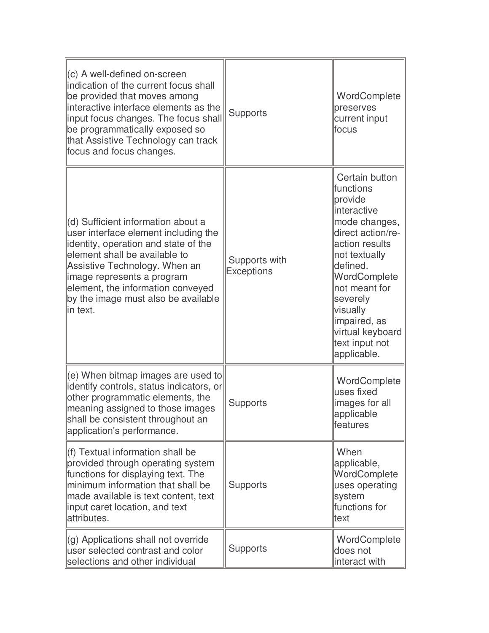| (c) A well-defined on-screen<br>indication of the current focus shall<br>be provided that moves among<br>interactive interface elements as the<br>input focus changes. The focus shall<br>be programmatically exposed so<br>that Assistive Technology can track<br>focus and focus changes.                 | <b>Supports</b>                    | WordComplete<br>preserves<br>current input<br>lfocus                                                                                                                                                                                                                      |
|-------------------------------------------------------------------------------------------------------------------------------------------------------------------------------------------------------------------------------------------------------------------------------------------------------------|------------------------------------|---------------------------------------------------------------------------------------------------------------------------------------------------------------------------------------------------------------------------------------------------------------------------|
| (d) Sufficient information about a<br>user interface element including the<br>identity, operation and state of the<br>element shall be available to<br>Assistive Technology. When an<br>image represents a program<br>element, the information conveyed<br>by the image must also be available<br>lin text. | Supports with<br><b>Exceptions</b> | Certain button<br>lfunctions<br>provide<br>interactive<br>mode changes,<br>direct action/re-<br>action results<br>not textually<br>defined.<br>WordComplete<br>not meant for<br>severely<br>visually<br>impaired, as<br>virtual keyboard<br>text input not<br>applicable. |
| (e) When bitmap images are used to<br>identify controls, status indicators, or<br>other programmatic elements, the<br>meaning assigned to those images<br>shall be consistent throughout an<br>application's performance.                                                                                   | <b>Supports</b>                    | WordComplete<br>uses fixed<br>images for all<br>applicable<br>features                                                                                                                                                                                                    |
| $\ $ (f) Textual information shall be<br>provided through operating system<br>functions for displaying text. The<br>minimum information that shall be<br>made available is text content, text<br>input caret location, and text<br>attributes.                                                              | <b>Supports</b>                    | When<br>applicable,<br>WordComplete<br>uses operating<br>system<br>functions for<br>ttext                                                                                                                                                                                 |
| (g) Applications shall not override<br>user selected contrast and color<br>selections and other individual                                                                                                                                                                                                  | <b>Supports</b>                    | WordComplete<br>does not<br>interact with                                                                                                                                                                                                                                 |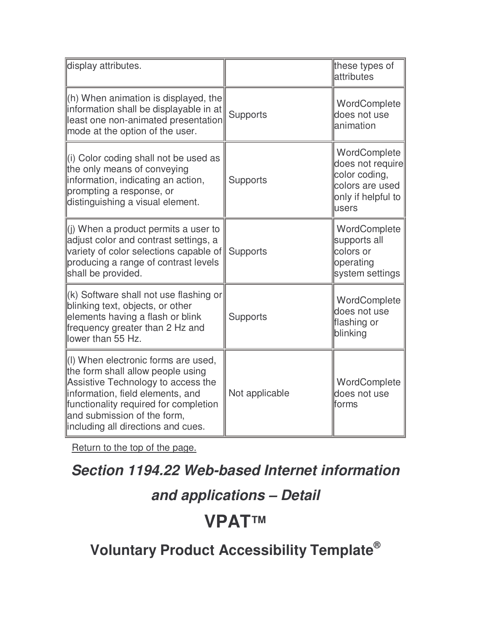| display attributes.                                                                                                                                                                                                                                              |                 | these types of<br>attributes                                                                        |
|------------------------------------------------------------------------------------------------------------------------------------------------------------------------------------------------------------------------------------------------------------------|-----------------|-----------------------------------------------------------------------------------------------------|
| $(h)$ When animation is displayed, the<br>information shall be displayable in at<br>least one non-animated presentation<br>mode at the option of the user.                                                                                                       | Supports        | WordComplete<br>does not use<br>lanimation                                                          |
| (i) Color coding shall not be used as<br>the only means of conveying<br>information, indicating an action,<br>prompting a response, or<br>distinguishing a visual element.                                                                                       | <b>Supports</b> | WordComplete<br>does not require<br>color coding,<br>colors are used<br>only if helpful to<br>users |
| $(i)$ When a product permits a user to<br>adjust color and contrast settings, a<br>variety of color selections capable of<br>producing a range of contrast levels<br>shall be provided.                                                                          | Supports        | WordComplete<br>supports all<br>colors or<br>operating<br>system settings                           |
| $(k)$ Software shall not use flashing or<br>blinking text, objects, or other<br>elements having a flash or blink<br>frequency greater than 2 Hz and<br>lower than 55 Hz.                                                                                         | <b>Supports</b> | WordComplete<br>does not use<br>flashing or<br>blinking                                             |
| (I) When electronic forms are used,<br>the form shall allow people using<br>Assistive Technology to access the<br>information, field elements, and<br>functionality required for completion<br>and submission of the form,<br>including all directions and cues. | Not applicable  | WordComplete<br>does not use<br>lforms                                                              |

### **Section 1194.22 Web-based Internet information**

#### **and applications – Detail**

### **VPAT™**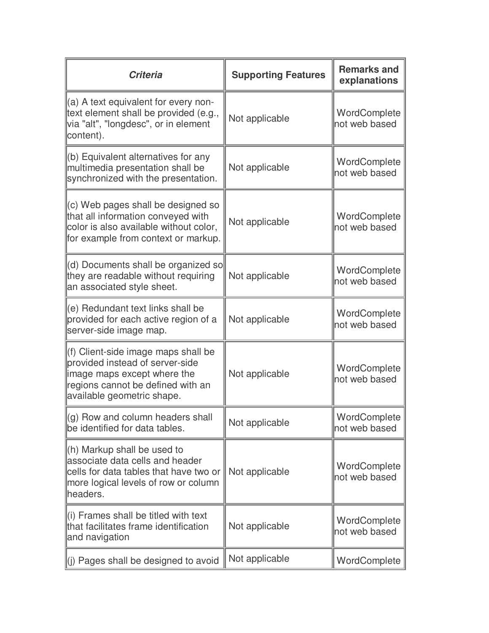| <b>Criteria</b>                                                                                                                                                          | <b>Supporting Features</b> | <b>Remarks and</b><br>explanations |
|--------------------------------------------------------------------------------------------------------------------------------------------------------------------------|----------------------------|------------------------------------|
| (a) A text equivalent for every non-<br>text element shall be provided (e.g.,<br>via "alt", "longdesc", or in element<br>content).                                       | Not applicable             | WordComplete<br>not web based      |
| (b) Equivalent alternatives for any<br>multimedia presentation shall be<br>synchronized with the presentation.                                                           | Not applicable             | WordComplete<br>not web based      |
| (c) Web pages shall be designed so<br>that all information conveyed with<br>color is also available without color,<br>for example from context or markup.                | Not applicable             | WordComplete<br>not web based      |
| (d) Documents shall be organized so<br>they are readable without requiring<br>an associated style sheet.                                                                 | Not applicable             | WordComplete<br>not web based      |
| (e) Redundant text links shall be<br>provided for each active region of a<br>server-side image map.                                                                      | Not applicable             | WordComplete<br>not web based      |
| (f) Client-side image maps shall be<br>provided instead of server-side<br>image maps except where the<br>regions cannot be defined with an<br>available geometric shape. | Not applicable             | WordComplete<br>not web based      |
| (g) Row and column headers shall<br>be identified for data tables.                                                                                                       | Not applicable             | WordComplete<br>not web based      |
| (h) Markup shall be used to<br>associate data cells and header<br>cells for data tables that have two or<br>more logical levels of row or column<br>headers.             | Not applicable             | WordComplete<br>not web based      |
| (i) Frames shall be titled with text<br>that facilitates frame identification<br>and navigation                                                                          | Not applicable             | WordComplete<br>not web based      |
| (j) Pages shall be designed to avoid                                                                                                                                     | Not applicable             | WordComplete                       |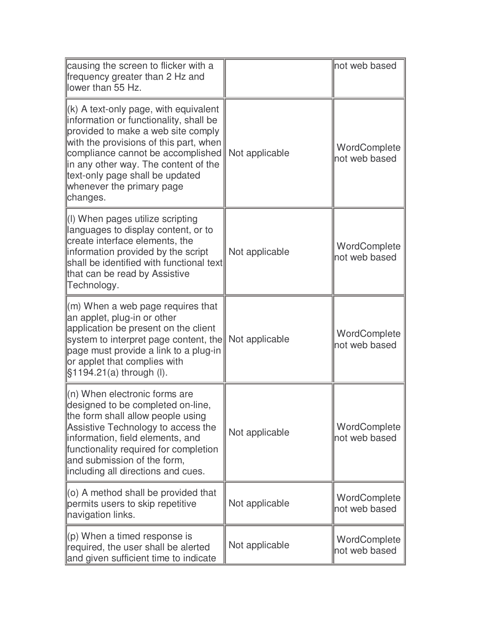| causing the screen to flicker with a<br>frequency greater than 2 Hz and<br>lower than 55 Hz.                                                                                                                                                                                                                               |                | not web based                 |
|----------------------------------------------------------------------------------------------------------------------------------------------------------------------------------------------------------------------------------------------------------------------------------------------------------------------------|----------------|-------------------------------|
| $(k)$ A text-only page, with equivalent<br>information or functionality, shall be<br>provided to make a web site comply<br>with the provisions of this part, when<br>compliance cannot be accomplished<br>in any other way. The content of the<br>text-only page shall be updated<br>whenever the primary page<br>changes. | Not applicable | WordComplete<br>not web based |
| (I) When pages utilize scripting<br>languages to display content, or to<br>create interface elements, the<br>information provided by the script<br>shall be identified with functional text<br>that can be read by Assistive<br>Technology.                                                                                | Not applicable | WordComplete<br>not web based |
| (m) When a web page requires that<br>an applet, plug-in or other<br>application be present on the client<br>system to interpret page content, the<br>page must provide a link to a plug-in<br>or applet that complies with<br>§1194.21(a) through (I).                                                                     | Not applicable | WordComplete<br>not web based |
| $(n)$ When electronic forms are<br>designed to be completed on-line,<br>the form shall allow people using<br>Assistive Technology to access the<br>information, field elements, and<br>functionality required for completion<br>and submission of the form,<br>including all directions and cues.                          | Not applicable | WordComplete<br>not web based |
| $(0)$ A method shall be provided that<br>permits users to skip repetitive<br>navigation links.                                                                                                                                                                                                                             | Not applicable | WordComplete<br>not web based |
| $(p)$ When a timed response is<br>required, the user shall be alerted<br>and given sufficient time to indicate                                                                                                                                                                                                             | Not applicable | WordComplete<br>not web based |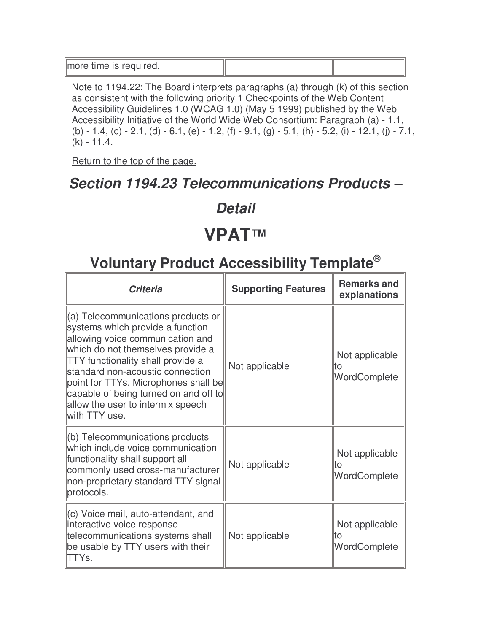| more time is required. |  |
|------------------------|--|

Note to 1194.22: The Board interprets paragraphs (a) through (k) of this section as consistent with the following priority 1 Checkpoints of the Web Content Accessibility Guidelines 1.0 (WCAG 1.0) (May 5 1999) published by the Web Accessibility Initiative of the World Wide Web Consortium: Paragraph (a) - 1.1, (b) - 1.4, (c) - 2.1, (d) - 6.1, (e) - 1.2, (f) - 9.1, (g) - 5.1, (h) - 5.2, (i) - 12.1, (j) - 7.1, (k) - 11.4.

Return to the top of the page.

#### **Section 1194.23 Telecommunications Products –**

#### **Detail**

### **VPAT™**

| <b>Criteria</b>                                                                                                                                                                                                                                                                                                                                                        | <b>Supporting Features</b> | <b>Remarks and</b><br>explanations    |
|------------------------------------------------------------------------------------------------------------------------------------------------------------------------------------------------------------------------------------------------------------------------------------------------------------------------------------------------------------------------|----------------------------|---------------------------------------|
| (a) Telecommunications products or<br>systems which provide a function<br>allowing voice communication and<br>which do not themselves provide a<br><b>TTY</b> functionality shall provide a<br>standard non-acoustic connection<br>point for TTYs. Microphones shall be<br>capable of being turned on and off to<br>allow the user to intermix speech<br>with TTY use. | Not applicable             | Not applicable<br>lto<br>WordComplete |
| (b) Telecommunications products<br>which include voice communication<br>functionality shall support all<br>commonly used cross-manufacturer<br>non-proprietary standard TTY signal<br>protocols.                                                                                                                                                                       | Not applicable             | Not applicable<br>lto<br>WordComplete |
| (c) Voice mail, auto-attendant, and<br>interactive voice response<br>telecommunications systems shall<br>be usable by TTY users with their<br>ITTYs.                                                                                                                                                                                                                   | Not applicable             | Not applicable<br>lto<br>WordComplete |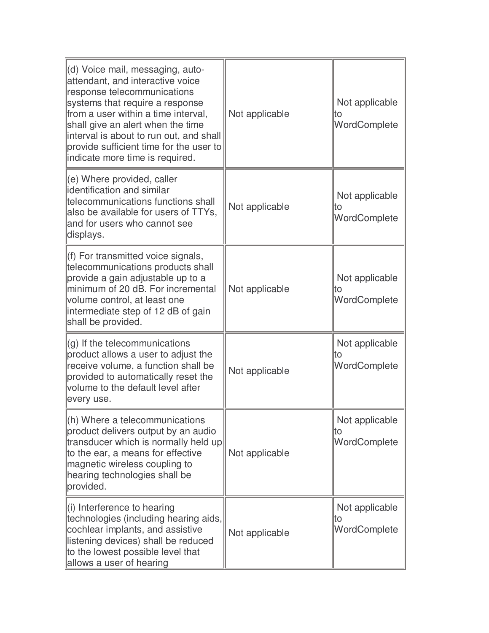| (d) Voice mail, messaging, auto-<br>attendant, and interactive voice<br>response telecommunications<br>systems that require a response<br>from a user within a time interval,<br>shall give an alert when the time<br>interval is about to run out, and shall<br>provide sufficient time for the user to<br>indicate more time is required. | Not applicable | Not applicable<br>lto<br>WordComplete |
|---------------------------------------------------------------------------------------------------------------------------------------------------------------------------------------------------------------------------------------------------------------------------------------------------------------------------------------------|----------------|---------------------------------------|
| (e) Where provided, caller<br>identification and similar<br>telecommunications functions shall<br>also be available for users of TTYs,<br>and for users who cannot see<br>displays.                                                                                                                                                         | Not applicable | Not applicable<br>lto<br>WordComplete |
| (f) For transmitted voice signals,<br>telecommunications products shall<br>provide a gain adjustable up to a<br>minimum of 20 dB. For incremental<br>volume control, at least one<br>intermediate step of 12 dB of gain<br>shall be provided.                                                                                               | Not applicable | Not applicable<br>lto<br>WordComplete |
| (g) If the telecommunications<br>product allows a user to adjust the<br>receive volume, a function shall be<br>provided to automatically reset the<br>volume to the default level after<br>every use.                                                                                                                                       | Not applicable | Not applicable<br>lto<br>WordComplete |
| (h) Where a telecommunications<br>product delivers output by an audio<br>transducer which is normally held up<br>to the ear, a means for effective<br>magnetic wireless coupling to<br>hearing technologies shall be<br>provided.                                                                                                           | Not applicable | Not applicable<br>lto<br>WordComplete |
| $\parallel$ (i) Interference to hearing<br>technologies (including hearing aids,<br>cochlear implants, and assistive<br>listening devices) shall be reduced<br>to the lowest possible level that<br>allows a user of hearing                                                                                                                | Not applicable | Not applicable<br>lto<br>WordComplete |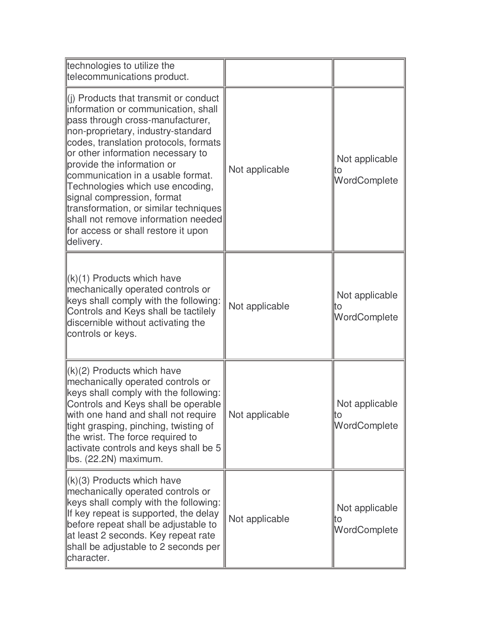| technologies to utilize the<br>telecommunications product.                                                                                                                                                                                                                                                                                                                                                                                                                                                                     |                |                                       |
|--------------------------------------------------------------------------------------------------------------------------------------------------------------------------------------------------------------------------------------------------------------------------------------------------------------------------------------------------------------------------------------------------------------------------------------------------------------------------------------------------------------------------------|----------------|---------------------------------------|
| $\left\  \right\ $ ) Products that transmit or conduct<br>information or communication, shall<br>pass through cross-manufacturer,<br>non-proprietary, industry-standard<br>codes, translation protocols, formats<br>or other information necessary to<br>provide the information or<br>communication in a usable format.<br>Technologies which use encoding,<br>signal compression, format<br>transformation, or similar techniques<br>shall not remove information needed<br>for access or shall restore it upon<br>delivery. | Not applicable | Not applicable<br>ΙO<br>WordComplete  |
| $(k)(1)$ Products which have<br>mechanically operated controls or<br>keys shall comply with the following:<br>Controls and Keys shall be tactilely<br>discernible without activating the<br>controls or keys.                                                                                                                                                                                                                                                                                                                  | Not applicable | Not applicable<br>lto<br>WordComplete |
| $\vert (k)(2)$ Products which have<br>mechanically operated controls or<br>keys shall comply with the following:<br>Controls and Keys shall be operable<br>with one hand and shall not require<br>tight grasping, pinching, twisting of<br>the wrist. The force required to<br>activate controls and keys shall be 5<br>Ibs. (22.2N) maximum.                                                                                                                                                                                  | Not applicable | Not applicable<br>WordComplete        |
| $\ $ (k)(3) Products which have<br>mechanically operated controls or<br>keys shall comply with the following:<br>If key repeat is supported, the delay<br>before repeat shall be adjustable to<br>at least 2 seconds. Key repeat rate<br>shall be adjustable to 2 seconds per<br>character.                                                                                                                                                                                                                                    | Not applicable | Not applicable<br>lto<br>WordComplete |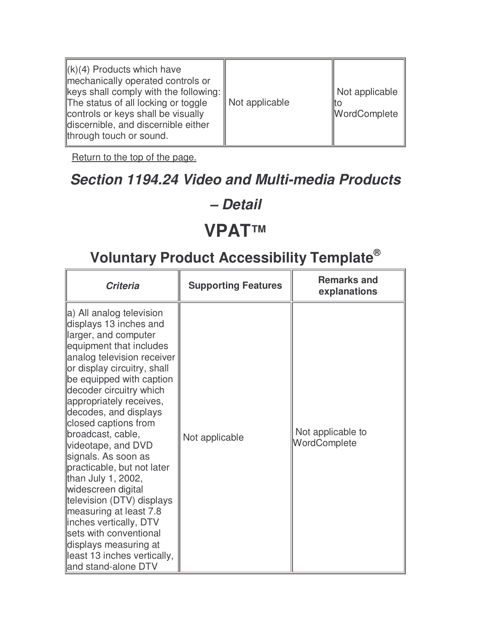| $\ (k)(4)$ Products which have<br>mechanically operated controls or<br>$\parallel$ keys shall comply with the following:<br>The status of all locking or toggle<br>controls or keys shall be visually<br>discernible, and discernible either<br>through touch or sound. | Not applicable | Not applicable<br>iito<br>WordComplete |
|-------------------------------------------------------------------------------------------------------------------------------------------------------------------------------------------------------------------------------------------------------------------------|----------------|----------------------------------------|
|-------------------------------------------------------------------------------------------------------------------------------------------------------------------------------------------------------------------------------------------------------------------------|----------------|----------------------------------------|

### **Section 1194.24 Video and Multi-media Products**

#### **– Detail**

#### **VPAT™**

| <b>Criteria</b>                                                                                                                                                                                                                                                                                                                                                                                                                                                                                                                                                                                                                              | <b>Supporting Features</b> | <b>Remarks and</b><br>explanations |
|----------------------------------------------------------------------------------------------------------------------------------------------------------------------------------------------------------------------------------------------------------------------------------------------------------------------------------------------------------------------------------------------------------------------------------------------------------------------------------------------------------------------------------------------------------------------------------------------------------------------------------------------|----------------------------|------------------------------------|
| a) All analog television<br>displays 13 inches and<br>larger, and computer<br>equipment that includes<br>analog television receiver<br>or display circuitry, shall<br>be equipped with caption<br>decoder circuitry which<br>appropriately receives,<br>decodes, and displays<br>closed captions from<br>broadcast, cable,<br>videotape, and DVD<br>signals. As soon as<br>practicable, but not later<br>than July 1, 2002,<br>widescreen digital<br>television (DTV) displays<br>measuring at least 7.8<br>linches vertically, DTV<br>sets with conventional<br>displays measuring at<br>least 13 inches vertically,<br>and stand-alone DTV | Not applicable             | Not applicable to<br>WordComplete  |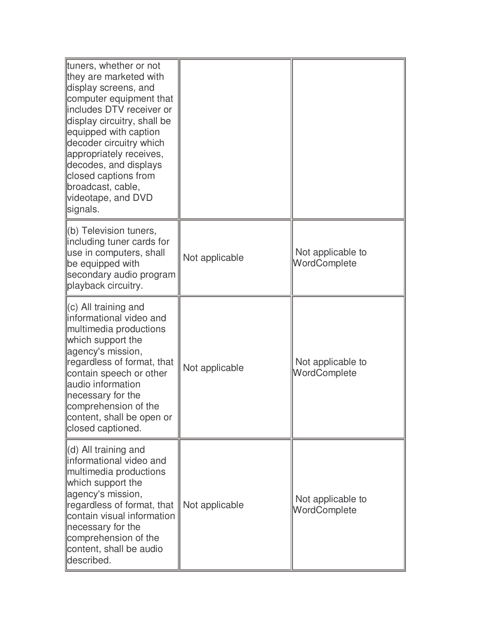| tuners, whether or not<br>they are marketed with<br>display screens, and<br>computer equipment that<br>includes DTV receiver or<br>display circuitry, shall be<br>equipped with caption<br>decoder circuitry which<br>appropriately receives,<br>decodes, and displays<br>closed captions from<br>broadcast, cable,<br>videotape, and DVD<br>signals. |                |                                   |
|-------------------------------------------------------------------------------------------------------------------------------------------------------------------------------------------------------------------------------------------------------------------------------------------------------------------------------------------------------|----------------|-----------------------------------|
| (b) Television tuners,<br>including tuner cards for<br>use in computers, shall<br>be equipped with<br>secondary audio program<br>playback circuitry.                                                                                                                                                                                                  | Not applicable | Not applicable to<br>WordComplete |
| $(c)$ All training and<br>informational video and<br>multimedia productions<br>which support the<br>agency's mission,<br>regardless of format, that<br>contain speech or other<br>audio information<br>necessary for the<br>comprehension of the<br>content, shall be open or<br>closed captioned.                                                    | Not applicable | Not applicable to<br>WordComplete |
| $\parallel$ (d) All training and<br>informational video and<br>multimedia productions<br>which support the<br>agency's mission,<br>regardless of format, that<br>contain visual information<br>necessary for the<br>comprehension of the<br>content, shall be audio<br>described.                                                                     | Not applicable | Not applicable to<br>WordComplete |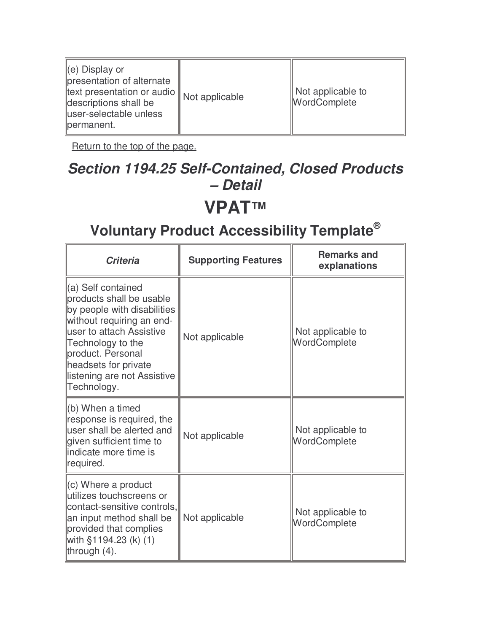| ∥(e) Display or<br>presentation of alternate<br>text presentation or audio    Not applicable<br>descriptions shall be<br>user-selectable unless<br>permanent. |  | Not applicable to<br>WordComplete |
|---------------------------------------------------------------------------------------------------------------------------------------------------------------|--|-----------------------------------|
|---------------------------------------------------------------------------------------------------------------------------------------------------------------|--|-----------------------------------|

#### **Section 1194.25 Self-Contained, Closed Products – Detail**

#### **VPAT™**

| <b>Criteria</b>                                                                                                                                                                                                                                           | <b>Supporting Features</b> | <b>Remarks and</b><br>explanations |
|-----------------------------------------------------------------------------------------------------------------------------------------------------------------------------------------------------------------------------------------------------------|----------------------------|------------------------------------|
| ∥(a) Self contained<br>products shall be usable<br>by people with disabilities<br>without requiring an end-<br>lluser to attach Assistive<br>Technology to the<br>product. Personal<br>headsets for private<br>listening are not Assistive<br>Technology. | Not applicable             | Not applicable to<br>WordComplete  |
| ll(b) When a timed<br>response is required, the<br>user shall be alerted and<br>given sufficient time to<br>llindicate more time is<br>required.                                                                                                          | Not applicable             | Not applicable to<br>WordComplete  |
| $\parallel$ (c) Where a product<br>utilizes touchscreens or<br>contact-sensitive controls,<br>an input method shall be<br>provided that complies<br>with §1194.23 (k) (1)<br>through (4).                                                                 | Not applicable             | Not applicable to<br>WordComplete  |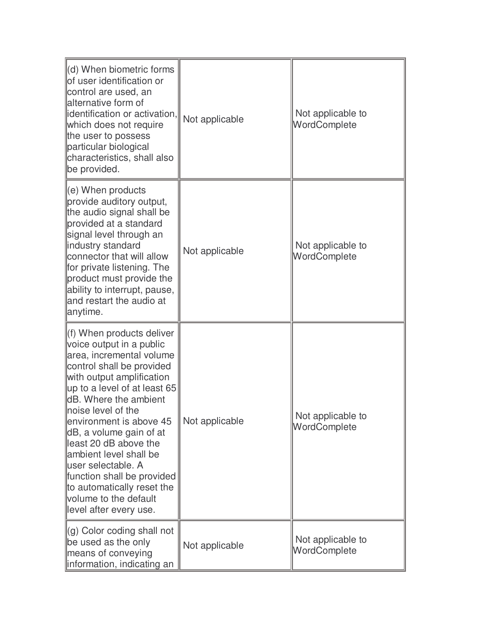| $\parallel$ (d) When biometric forms<br>of user identification or<br>control are used, an<br>alternative form of<br>identification or activation,<br>which does not require<br>the user to possess<br>particular biological<br>characteristics, shall also<br>be provided.                                                                                                                                                                                                | Not applicable | Not applicable to<br>WordComplete |
|---------------------------------------------------------------------------------------------------------------------------------------------------------------------------------------------------------------------------------------------------------------------------------------------------------------------------------------------------------------------------------------------------------------------------------------------------------------------------|----------------|-----------------------------------|
| (e) When products<br>provide auditory output,<br>the audio signal shall be<br>provided at a standard<br>signal level through an<br>industry standard<br>connector that will allow<br>for private listening. The<br>product must provide the<br>ability to interrupt, pause,<br>and restart the audio at<br>anytime.                                                                                                                                                       | Not applicable | Not applicable to<br>WordComplete |
| (f) When products deliver<br>voice output in a public<br>area, incremental volume<br>control shall be provided<br>with output amplification<br>up to a level of at least 65<br>dB. Where the ambient<br>noise level of the<br>environment is above 45<br>dB, a volume gain of at<br>least 20 dB above the<br>ambient level shall be<br>luser selectable. A<br>function shall be provided<br>to automatically reset the<br>volume to the default<br>level after every use. | Not applicable | Not applicable to<br>WordComplete |
| (g) Color coding shall not<br>be used as the only<br>means of conveying<br>information, indicating an                                                                                                                                                                                                                                                                                                                                                                     | Not applicable | Not applicable to<br>WordComplete |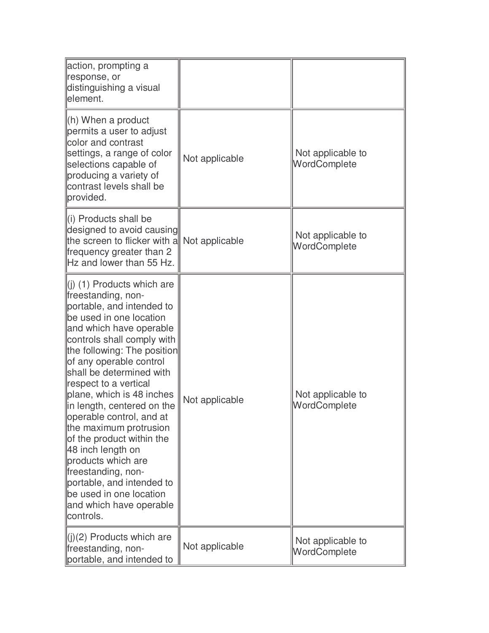| action, prompting a<br>response, or<br>distinguishing a visual<br>element.                                                                                                                                                                                                                                                                                                                                                                                                                                                                                                                                  |                |                                   |
|-------------------------------------------------------------------------------------------------------------------------------------------------------------------------------------------------------------------------------------------------------------------------------------------------------------------------------------------------------------------------------------------------------------------------------------------------------------------------------------------------------------------------------------------------------------------------------------------------------------|----------------|-----------------------------------|
| (h) When a product<br>permits a user to adjust<br>color and contrast<br>settings, a range of color<br>selections capable of<br>producing a variety of<br>contrast levels shall be<br>provided.                                                                                                                                                                                                                                                                                                                                                                                                              | Not applicable | Not applicable to<br>WordComplete |
| $\left\  \right\ $ Products shall be<br>designed to avoid causing<br>the screen to flicker with a<br>frequency greater than 2<br>Hz and lower than 55 Hz.                                                                                                                                                                                                                                                                                                                                                                                                                                                   | Not applicable | Not applicable to<br>WordComplete |
| $\parallel$ (i) (1) Products which are<br>freestanding, non-<br>portable, and intended to<br>be used in one location<br>and which have operable<br>controls shall comply with<br>the following: The position<br>of any operable control<br>shall be determined with<br>respect to a vertical<br>plane, which is 48 inches<br>in length, centered on the<br>operable control, and at<br>the maximum protrusion<br>of the product within the<br>48 inch length on<br>products which are<br>freestanding, non-<br>portable, and intended to<br>be used in one location<br>and which have operable<br>controls. | Not applicable | Not applicable to<br>WordComplete |
| $\  (i)(2)$ Products which are<br>freestanding, non-<br>portable, and intended to                                                                                                                                                                                                                                                                                                                                                                                                                                                                                                                           | Not applicable | Not applicable to<br>WordComplete |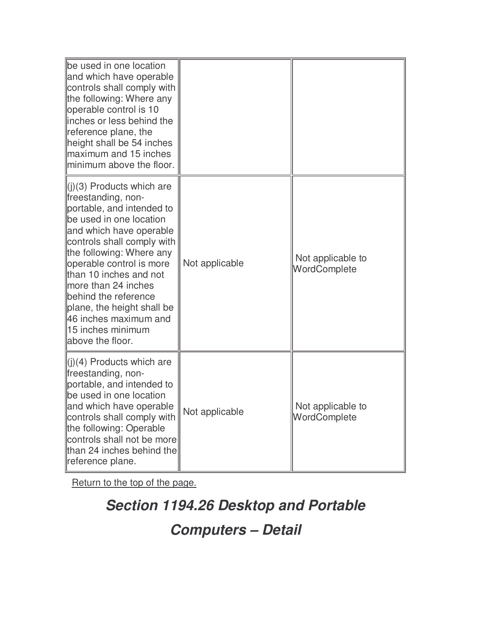| be used in one location<br>and which have operable<br>controls shall comply with<br>the following: Where any<br>operable control is 10<br>inches or less behind the<br>reference plane, the<br>height shall be 54 inches<br>maximum and 15 inches<br>minimum above the floor.                                                                                                                    |                |                                   |
|--------------------------------------------------------------------------------------------------------------------------------------------------------------------------------------------------------------------------------------------------------------------------------------------------------------------------------------------------------------------------------------------------|----------------|-----------------------------------|
| $(3)$ Products which are<br>freestanding, non-<br>portable, and intended to<br>be used in one location<br>and which have operable<br>controls shall comply with<br>the following: Where any<br>operable control is more<br>than 10 inches and not<br>more than 24 inches<br>behind the reference<br>plane, the height shall be<br>46 inches maximum and<br>15 inches minimum<br>above the floor. | Not applicable | Not applicable to<br>WordComplete |
| $(1)(4)$ Products which are<br>freestanding, non-<br>portable, and intended to<br>be used in one location<br>and which have operable<br>controls shall comply with<br>the following: Operable<br>controls shall not be more<br>than 24 inches behind the<br>reference plane.                                                                                                                     | Not applicable | Not applicable to<br>WordComplete |

**Section 1194.26 Desktop and Portable Computers – Detail**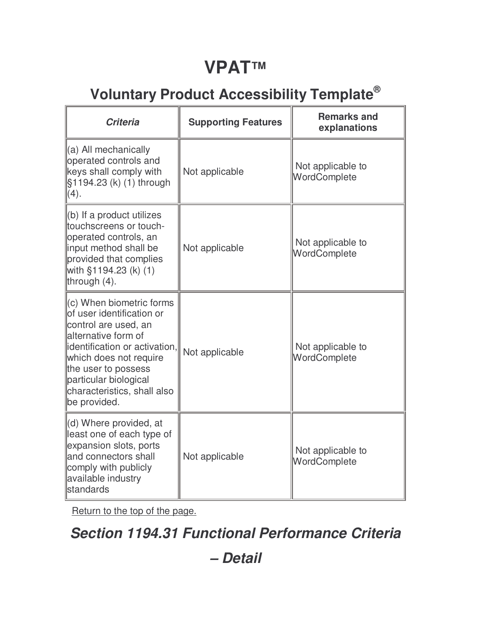## **VPAT™**

### **Voluntary Product Accessibility Template®**

| <b>Criteria</b>                                                                                                                                                                                                                                                | <b>Supporting Features</b> | <b>Remarks and</b><br>explanations |
|----------------------------------------------------------------------------------------------------------------------------------------------------------------------------------------------------------------------------------------------------------------|----------------------------|------------------------------------|
| (a) All mechanically<br>operated controls and<br>keys shall comply with<br>§1194.23 (k) (1) through<br>(4).                                                                                                                                                    | Not applicable             | Not applicable to<br>WordComplete  |
| $(b)$ If a product utilizes<br>touchscreens or touch-<br>operated controls, an<br>input method shall be<br>provided that complies<br>with §1194.23 (k) (1)<br>through $(4)$ .                                                                                  | Not applicable             | Not applicable to<br>WordComplete  |
| (c) When biometric forms<br>of user identification or<br>control are used, an<br>alternative form of<br>identification or activation,<br>which does not require<br>the user to possess<br>particular biological<br>characteristics, shall also<br>be provided. | Not applicable             | Not applicable to<br>WordComplete  |
| (d) Where provided, at<br>least one of each type of<br>expansion slots, ports<br>and connectors shall<br>comply with publicly<br>available industry<br><b>standards</b>                                                                                        | Not applicable             | Not applicable to<br>WordComplete  |

Return to the top of the page.

#### **Section 1194.31 Functional Performance Criteria**

**– Detail**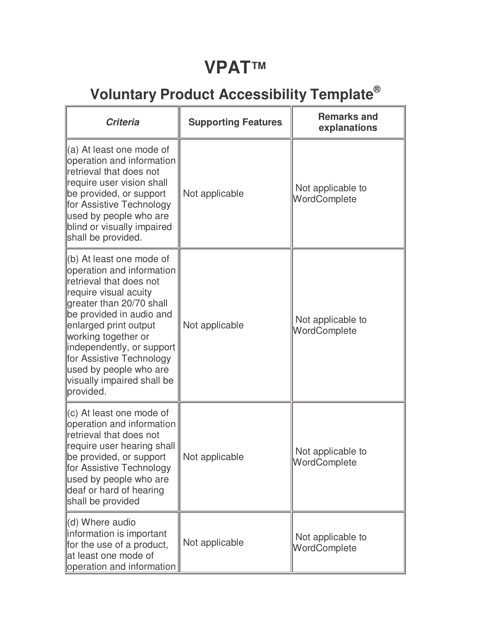### **VPAT™**

| <b>Criteria</b>                                                                                                                                                                                                                                                                                                                                             | <b>Supporting Features</b> | <b>Remarks and</b><br>explanations |
|-------------------------------------------------------------------------------------------------------------------------------------------------------------------------------------------------------------------------------------------------------------------------------------------------------------------------------------------------------------|----------------------------|------------------------------------|
| ∥(a) At least one mode of<br>operation and information<br>retrieval that does not<br>require user vision shall<br>be provided, or support<br>for Assistive Technology<br>used by people who are<br>blind or visually impaired<br>shall be provided.                                                                                                         | Not applicable             | Not applicable to<br>WordComplete  |
| $\parallel$ (b) At least one mode of<br>operation and information<br>retrieval that does not<br>require visual acuity<br>greater than 20/70 shall<br>be provided in audio and<br>enlarged print output<br>working together or<br>independently, or support<br>for Assistive Technology<br>used by people who are<br>visually impaired shall be<br>provided. | Not applicable             | Not applicable to<br>WordComplete  |
| $\parallel$ (c) At least one mode of<br>operation and information<br>retrieval that does not<br>require user hearing shall<br>be provided, or support<br>∥for Assistive Technology<br>used by people who are<br>deaf or hard of hearing<br>shall be provided                                                                                                | Not applicable             | Not applicable to<br>WordComplete  |
| (d) Where audio<br>linformation is important<br>for the use of a product,<br>at least one mode of<br>operation and information                                                                                                                                                                                                                              | Not applicable             | Not applicable to<br>WordComplete  |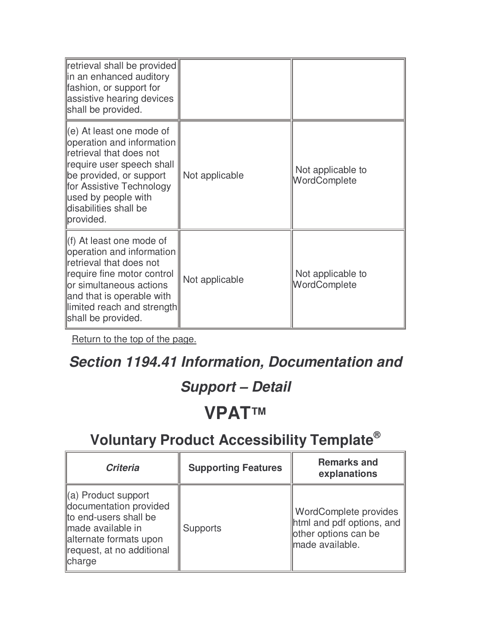| retrieval shall be provided<br>lin an enhanced auditory<br>fashion, or support for<br>assistive hearing devices<br>shall be provided.                                                                                                         |                |                                   |
|-----------------------------------------------------------------------------------------------------------------------------------------------------------------------------------------------------------------------------------------------|----------------|-----------------------------------|
| $\parallel$ (e) At least one mode of<br>operation and information<br>retrieval that does not<br>require user speech shall<br>be provided, or support<br>for Assistive Technology<br>used by people with<br>disabilities shall be<br>provided. | Not applicable | Not applicable to<br>WordComplete |
| (f) At least one mode of<br>operation and information<br>retrieval that does not<br>require fine motor control<br>lor simultaneous actions<br>and that is operable with<br>llimited reach and strength<br>shall be provided.                  | Not applicable | Not applicable to<br>WordComplete |

#### **Section 1194.41 Information, Documentation and**

#### **Support – Detail**

### **VPAT™**

| <b>Criteria</b>                                                                                                                                                          | <b>Supporting Features</b> | <b>Remarks and</b><br>explanations                                                            |
|--------------------------------------------------------------------------------------------------------------------------------------------------------------------------|----------------------------|-----------------------------------------------------------------------------------------------|
| $\parallel$ (a) Product support<br>documentation provided<br>to end-users shall be<br>made available in<br>alternate formats upon<br>request, at no additional<br>charge | <b>Supports</b>            | WordComplete provides<br>html and pdf options, and<br>other options can be<br>made available. |